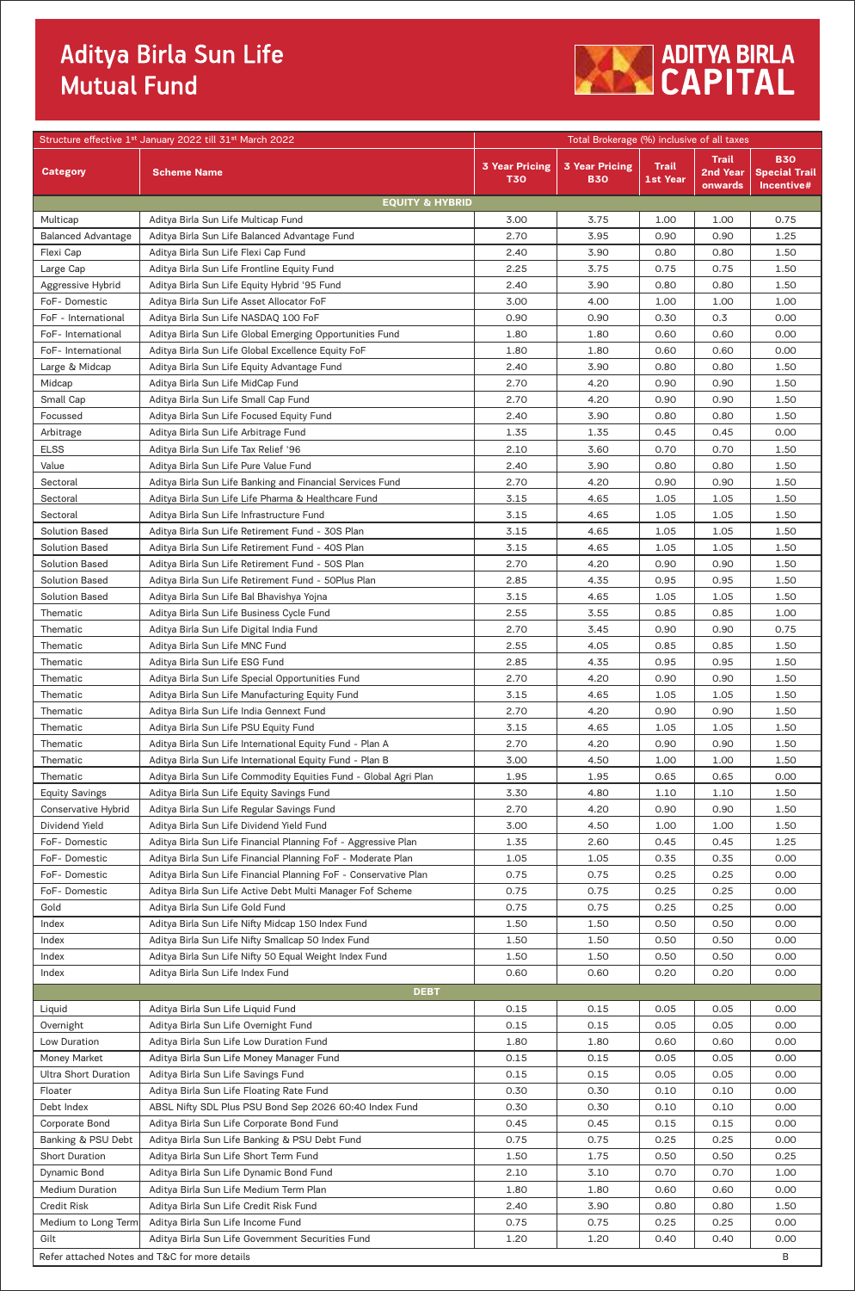## Aditya Birla Sun Life<br>Mutual Fund



|                                       | Structure effective 1st January 2022 till 31st March 2022                                                                      | Total Brokerage (%) inclusive of all taxes |                                     |                                 |                                     |                                                  |
|---------------------------------------|--------------------------------------------------------------------------------------------------------------------------------|--------------------------------------------|-------------------------------------|---------------------------------|-------------------------------------|--------------------------------------------------|
| <b>Category</b>                       | <b>Scheme Name</b>                                                                                                             | <b>3 Year Pricing</b><br><b>T30</b>        | <b>3 Year Pricing</b><br><b>B30</b> | <b>Trail</b><br><b>1st Year</b> | <b>Trail</b><br>2nd Year<br>onwards | <b>B30</b><br><b>Special Trail</b><br>Incentive# |
| Multicap                              | <b>EQUITY &amp; HYBRID</b><br>Aditya Birla Sun Life Multicap Fund                                                              | 3.00                                       | 3.75                                | 1.00                            | 1.00                                | 0.75                                             |
| <b>Balanced Advantage</b>             | Aditya Birla Sun Life Balanced Advantage Fund                                                                                  | 2.70                                       | 3.95                                | 0.90                            | 0.90                                | 1.25                                             |
| Flexi Cap                             | Aditya Birla Sun Life Flexi Cap Fund                                                                                           | 2.40                                       | 3.90                                | 0.80                            | 0.80                                | 1.50                                             |
| Large Cap                             | Aditya Birla Sun Life Frontline Equity Fund                                                                                    | 2.25                                       | 3.75                                | 0.75                            | 0.75                                | 1.50                                             |
| Aggressive Hybrid                     | Aditya Birla Sun Life Equity Hybrid '95 Fund                                                                                   | 2.40                                       | 3.90                                | 0.80                            | 0.80                                | 1.50                                             |
| FoF-Domestic                          | Aditya Birla Sun Life Asset Allocator FoF                                                                                      | 3.00                                       | 4.00                                | 1.00                            | 1.00                                | 1.00                                             |
| FoF - International                   | Aditya Birla Sun Life NASDAQ 100 FoF                                                                                           | 0.90                                       | 0.90                                | 0.30                            | 0.3                                 | 0.00                                             |
| FoF- International                    | Aditya Birla Sun Life Global Emerging Opportunities Fund                                                                       | 1.80                                       | 1.80                                | 0.60                            | 0.60                                | 0.00                                             |
| FoF- International                    | Aditya Birla Sun Life Global Excellence Equity FoF                                                                             | 1.80                                       | 1.80                                | 0.60                            | 0.60                                | 0.00                                             |
| Large & Midcap                        | Aditya Birla Sun Life Equity Advantage Fund                                                                                    | 2.40                                       | 3.90                                | 0.80                            | 0.80                                | 1.50                                             |
| Midcap<br>Small Cap                   | Aditya Birla Sun Life MidCap Fund<br>Aditya Birla Sun Life Small Cap Fund                                                      | 2.70<br>2.70                               | 4.20<br>4.20                        | 0.90<br>0.90                    | 0.90<br>0.90                        | 1.50<br>1.50                                     |
| Focussed                              | Aditya Birla Sun Life Focused Equity Fund                                                                                      | 2.40                                       | 3.90                                | 0.80                            | 0.80                                | 1.50                                             |
| Arbitrage                             | Aditya Birla Sun Life Arbitrage Fund                                                                                           | 1.35                                       | 1.35                                | 0.45                            | 0.45                                | 0.00                                             |
| <b>ELSS</b>                           | Aditya Birla Sun Life Tax Relief '96                                                                                           | 2.10                                       | 3.60                                | 0.70                            | 0.70                                | 1.50                                             |
| Value                                 | Aditya Birla Sun Life Pure Value Fund                                                                                          | 2.40                                       | 3.90                                | 0.80                            | 0.80                                | 1.50                                             |
| Sectoral                              | Aditya Birla Sun Life Banking and Financial Services Fund                                                                      | 2.70                                       | 4.20                                | 0.90                            | 0.90                                | 1.50                                             |
| Sectoral                              | Aditya Birla Sun Life Life Pharma & Healthcare Fund                                                                            | 3.15                                       | 4.65                                | 1.05                            | 1.05                                | 1.50                                             |
| Sectoral                              | Aditya Birla Sun Life Infrastructure Fund                                                                                      | 3.15                                       | 4.65                                | 1.05                            | 1.05                                | 1.50                                             |
| <b>Solution Based</b>                 | Aditya Birla Sun Life Retirement Fund - 30S Plan                                                                               | 3.15                                       | 4.65                                | 1.05                            | 1.05                                | 1.50                                             |
| <b>Solution Based</b>                 | Aditya Birla Sun Life Retirement Fund - 40S Plan                                                                               | 3.15                                       | 4.65                                | 1.05                            | 1.05                                | 1.50                                             |
| <b>Solution Based</b>                 | Aditya Birla Sun Life Retirement Fund - 50S Plan                                                                               | 2.70                                       | 4.20                                | 0.90                            | 0.90                                | 1.50                                             |
| <b>Solution Based</b>                 | Aditya Birla Sun Life Retirement Fund - 50Plus Plan                                                                            | 2.85                                       | 4.35                                | 0.95                            | 0.95                                | 1.50                                             |
| <b>Solution Based</b>                 | Aditya Birla Sun Life Bal Bhavishya Yojna                                                                                      | 3.15                                       | 4.65                                | 1.05                            | 1.05                                | 1.50                                             |
| Thematic                              | Aditya Birla Sun Life Business Cycle Fund                                                                                      | 2.55                                       | 3.55                                | 0.85                            | 0.85                                | 1.00                                             |
| Thematic                              | Aditya Birla Sun Life Digital India Fund                                                                                       | 2.70                                       | 3.45                                | 0.90                            | 0.90                                | 0.75                                             |
| Thematic<br>Thematic                  | Aditya Birla Sun Life MNC Fund<br>Aditya Birla Sun Life ESG Fund                                                               | 2.55<br>2.85                               | 4.05<br>4.35                        | 0.85<br>0.95                    | 0.85<br>0.95                        | 1.50<br>1.50                                     |
| Thematic                              | Aditya Birla Sun Life Special Opportunities Fund                                                                               | 2.70                                       | 4.20                                | 0.90                            | 0.90                                | 1.50                                             |
| Thematic                              | Aditya Birla Sun Life Manufacturing Equity Fund                                                                                | 3.15                                       | 4.65                                | 1.05                            | 1.05                                | 1.50                                             |
| Thematic                              | Aditya Birla Sun Life India Gennext Fund                                                                                       | 2.70                                       | 4.20                                | 0.90                            | 0.90                                | 1.50                                             |
| Thematic                              | Aditya Birla Sun Life PSU Equity Fund                                                                                          | 3.15                                       | 4.65                                | 1.05                            | 1.05                                | 1.50                                             |
| Thematic                              | Aditya Birla Sun Life International Equity Fund - Plan A                                                                       | 2.70                                       | 4.20                                | 0.90                            | 0.90                                | 1.50                                             |
| Thematic                              | Aditya Birla Sun Life International Equity Fund - Plan B                                                                       | 3.00                                       | 4.50                                | 1.00                            | 1.00                                | 1.50                                             |
| Thematic                              | Aditya Birla Sun Life Commodity Equities Fund - Global Agri Plan                                                               | 1.95                                       | 1.95                                | 0.65                            | 0.65                                | 0.00                                             |
| <b>Equity Savings</b>                 | Aditya Birla Sun Life Equity Savings Fund                                                                                      | 3.30                                       | 4.80                                | 1.10                            | 1.10                                | 1.50                                             |
| <b>Conservative Hybrid</b>            | Aditya Birla Sun Life Regular Savings Fund                                                                                     | 2.70                                       | 4.20                                | 0.90                            | 0.90                                | 1.50                                             |
| Dividend Yield                        | Aditya Birla Sun Life Dividend Yield Fund                                                                                      | 3.00                                       | 4.50                                | 1.00                            | 1.00                                | 1.50                                             |
| FoF-Domestic                          | Aditya Birla Sun Life Financial Planning Fof - Aggressive Plan                                                                 | 1.35                                       | 2.60                                | 0.45                            | 0.45                                | 1.25                                             |
| FoF-Domestic<br>FoF-Domestic          | Aditya Birla Sun Life Financial Planning FoF - Moderate Plan                                                                   | 1.05                                       | 1.05                                | 0.35                            | 0.35                                | 0.00                                             |
| FoF-Domestic                          | Aditya Birla Sun Life Financial Planning FoF - Conservative Plan<br>Aditya Birla Sun Life Active Debt Multi Manager Fof Scheme | 0.75<br>0.75                               | 0.75<br>0.75                        | 0.25<br>0.25                    | 0.25<br>0.25                        | 0.00<br>0.00                                     |
| Gold                                  | Aditya Birla Sun Life Gold Fund                                                                                                | 0.75                                       | 0.75                                | 0.25                            | 0.25                                | 0.00                                             |
| Index                                 | Aditya Birla Sun Life Nifty Midcap 150 Index Fund                                                                              | 1.50                                       | 1.50                                | 0.50                            | 0.50                                | 0.00                                             |
| Index                                 | Aditya Birla Sun Life Nifty Smallcap 50 Index Fund                                                                             | 1.50                                       | 1.50                                | 0.50                            | 0.50                                | 0.00                                             |
| Index                                 | Aditya Birla Sun Life Nifty 50 Equal Weight Index Fund                                                                         | 1.50                                       | 1.50                                | 0.50                            | 0.50                                | 0.00                                             |
| Index                                 | Aditya Birla Sun Life Index Fund                                                                                               | 0.60                                       | 0.60                                | 0.20                            | 0.20                                | 0.00                                             |
| <b>DEBT</b>                           |                                                                                                                                |                                            |                                     |                                 |                                     |                                                  |
| Liquid                                | Aditya Birla Sun Life Liquid Fund                                                                                              | 0.15                                       | 0.15                                | 0.05                            | 0.05                                | 0.00                                             |
| Overnight                             | Aditya Birla Sun Life Overnight Fund                                                                                           | 0.15                                       | 0.15                                | 0.05                            | 0.05                                | 0.00                                             |
| Low Duration                          | Aditya Birla Sun Life Low Duration Fund                                                                                        | 1.80                                       | 1.80                                | 0.60                            | 0.60                                | 0.00                                             |
| Money Market                          | Aditya Birla Sun Life Money Manager Fund                                                                                       | 0.15                                       | 0.15                                | 0.05                            | 0.05                                | 0.00                                             |
| <b>Ultra Short Duration</b>           | Aditya Birla Sun Life Savings Fund                                                                                             | 0.15                                       | 0.15                                | 0.05                            | 0.05                                | 0.00                                             |
| Floater                               | Aditya Birla Sun Life Floating Rate Fund                                                                                       | 0.30                                       | 0.30                                | 0.10                            | 0.10                                | 0.00                                             |
| Debt Index                            | ABSL Nifty SDL Plus PSU Bond Sep 2026 60:40 Index Fund                                                                         | 0.30                                       | 0.30                                | 0.10                            | 0.10                                | 0.00                                             |
| Corporate Bond                        | Aditya Birla Sun Life Corporate Bond Fund                                                                                      | 0.45                                       | 0.45                                | 0.15                            | 0.15                                | 0.00                                             |
| Banking & PSU Debt                    | Aditya Birla Sun Life Banking & PSU Debt Fund                                                                                  | 0.75                                       | 0.75                                | 0.25                            | 0.25                                | 0.00                                             |
| <b>Short Duration</b><br>Dynamic Bond | Aditya Birla Sun Life Short Term Fund<br>Aditya Birla Sun Life Dynamic Bond Fund                                               | 1.50<br>2.10                               | 1.75<br>3.10                        | 0.50<br>0.70                    | 0.50<br>0.70                        | 0.25<br>1.00                                     |
| <b>Medium Duration</b>                | Aditya Birla Sun Life Medium Term Plan                                                                                         | 1.80                                       | 1.80                                | 0.60                            | 0.60                                | 0.00                                             |
| Credit Risk                           | Aditya Birla Sun Life Credit Risk Fund                                                                                         | 2.40                                       | 3.90                                | 0.80                            | 0.80                                | 1.50                                             |
| Medium to Long Term                   | Aditya Birla Sun Life Income Fund                                                                                              | 0.75                                       | 0.75                                | 0.25                            | 0.25                                | 0.00                                             |
| Gilt                                  | Aditya Birla Sun Life Government Securities Fund                                                                               | 1.20                                       | 1.20                                | 0.40                            | 0.40                                | 0.00                                             |
|                                       | Refer attached Notes and T&C for more details                                                                                  |                                            |                                     |                                 |                                     | В                                                |
|                                       |                                                                                                                                |                                            |                                     |                                 |                                     |                                                  |